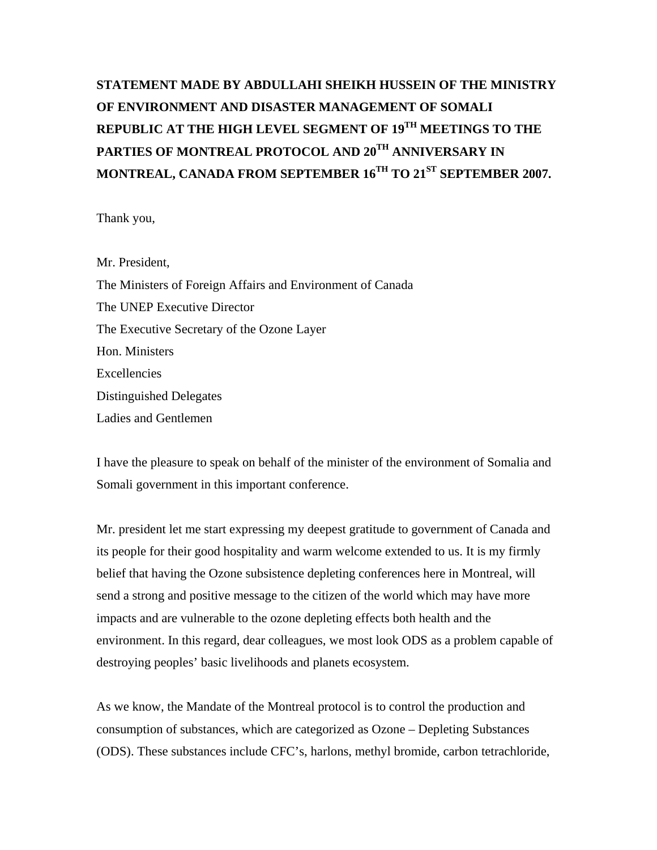# **STATEMENT MADE BY ABDULLAHI SHEIKH HUSSEIN OF THE MINISTRY OF ENVIRONMENT AND DISASTER MANAGEMENT OF SOMALI REPUBLIC AT THE HIGH LEVEL SEGMENT OF 19TH MEETINGS TO THE PARTIES OF MONTREAL PROTOCOL AND 20TH ANNIVERSARY IN MONTREAL, CANADA FROM SEPTEMBER 16TH TO 21ST SEPTEMBER 2007.**

Thank you,

Mr. President, The Ministers of Foreign Affairs and Environment of Canada The UNEP Executive Director The Executive Secretary of the Ozone Layer Hon. Ministers Excellencies Distinguished Delegates Ladies and Gentlemen

I have the pleasure to speak on behalf of the minister of the environment of Somalia and Somali government in this important conference.

Mr. president let me start expressing my deepest gratitude to government of Canada and its people for their good hospitality and warm welcome extended to us. It is my firmly belief that having the Ozone subsistence depleting conferences here in Montreal, will send a strong and positive message to the citizen of the world which may have more impacts and are vulnerable to the ozone depleting effects both health and the environment. In this regard, dear colleagues, we most look ODS as a problem capable of destroying peoples' basic livelihoods and planets ecosystem.

As we know, the Mandate of the Montreal protocol is to control the production and consumption of substances, which are categorized as Ozone – Depleting Substances (ODS). These substances include CFC's, harlons, methyl bromide, carbon tetrachloride,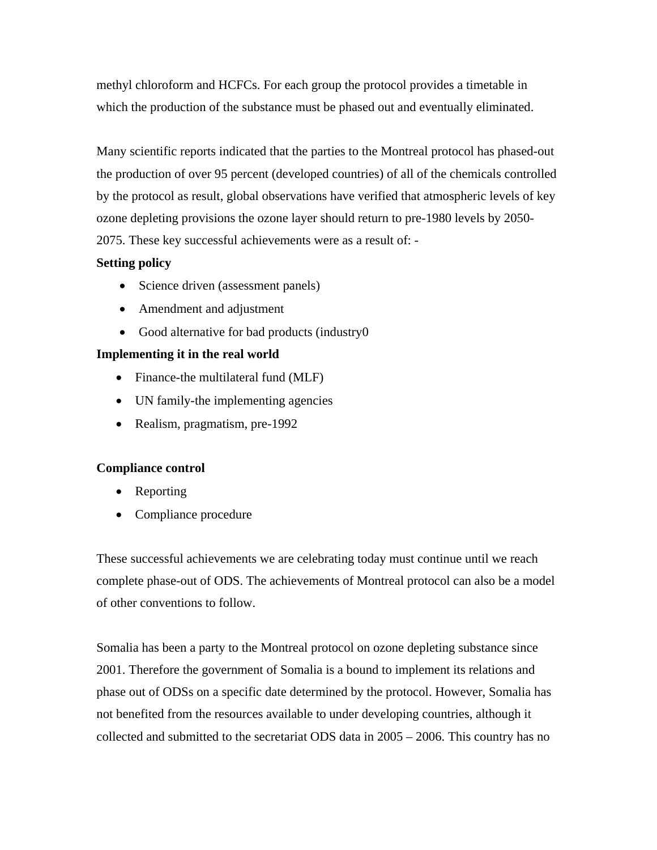methyl chloroform and HCFCs. For each group the protocol provides a timetable in which the production of the substance must be phased out and eventually eliminated.

Many scientific reports indicated that the parties to the Montreal protocol has phased-out the production of over 95 percent (developed countries) of all of the chemicals controlled by the protocol as result, global observations have verified that atmospheric levels of key ozone depleting provisions the ozone layer should return to pre-1980 levels by 2050- 2075. These key successful achievements were as a result of: -

## **Setting policy**

- Science driven (assessment panels)
- Amendment and adjustment
- Good alternative for bad products (industry0)

## **Implementing it in the real world**

- Finance-the multilateral fund (MLF)
- UN family-the implementing agencies
- Realism, pragmatism, pre-1992

### **Compliance control**

- Reporting
- Compliance procedure

These successful achievements we are celebrating today must continue until we reach complete phase-out of ODS. The achievements of Montreal protocol can also be a model of other conventions to follow.

Somalia has been a party to the Montreal protocol on ozone depleting substance since 2001. Therefore the government of Somalia is a bound to implement its relations and phase out of ODSs on a specific date determined by the protocol. However, Somalia has not benefited from the resources available to under developing countries, although it collected and submitted to the secretariat ODS data in 2005 – 2006. This country has no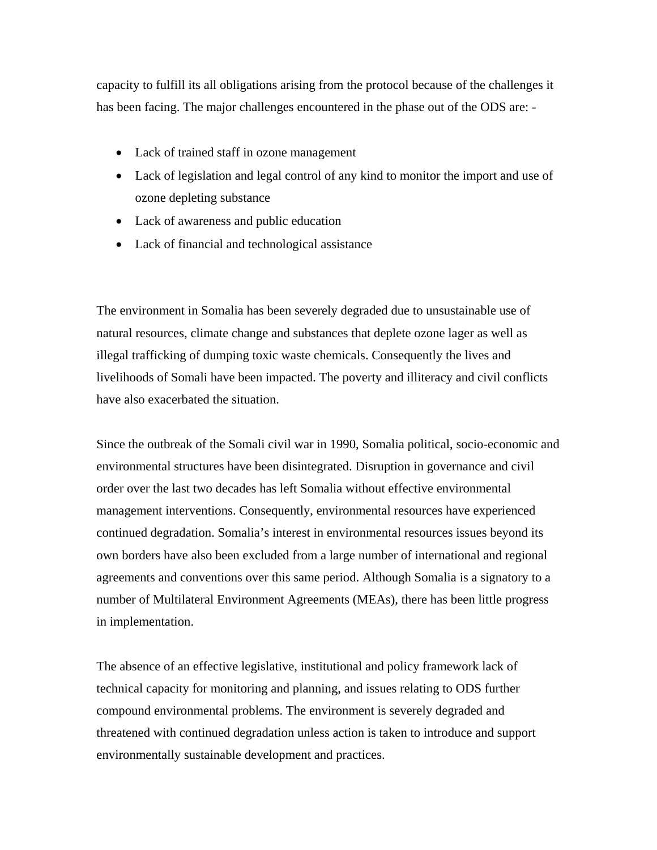capacity to fulfill its all obligations arising from the protocol because of the challenges it has been facing. The major challenges encountered in the phase out of the ODS are: -

- Lack of trained staff in ozone management
- Lack of legislation and legal control of any kind to monitor the import and use of ozone depleting substance
- Lack of awareness and public education
- Lack of financial and technological assistance

The environment in Somalia has been severely degraded due to unsustainable use of natural resources, climate change and substances that deplete ozone lager as well as illegal trafficking of dumping toxic waste chemicals. Consequently the lives and livelihoods of Somali have been impacted. The poverty and illiteracy and civil conflicts have also exacerbated the situation.

Since the outbreak of the Somali civil war in 1990, Somalia political, socio-economic and environmental structures have been disintegrated. Disruption in governance and civil order over the last two decades has left Somalia without effective environmental management interventions. Consequently, environmental resources have experienced continued degradation. Somalia's interest in environmental resources issues beyond its own borders have also been excluded from a large number of international and regional agreements and conventions over this same period. Although Somalia is a signatory to a number of Multilateral Environment Agreements (MEAs), there has been little progress in implementation.

The absence of an effective legislative, institutional and policy framework lack of technical capacity for monitoring and planning, and issues relating to ODS further compound environmental problems. The environment is severely degraded and threatened with continued degradation unless action is taken to introduce and support environmentally sustainable development and practices.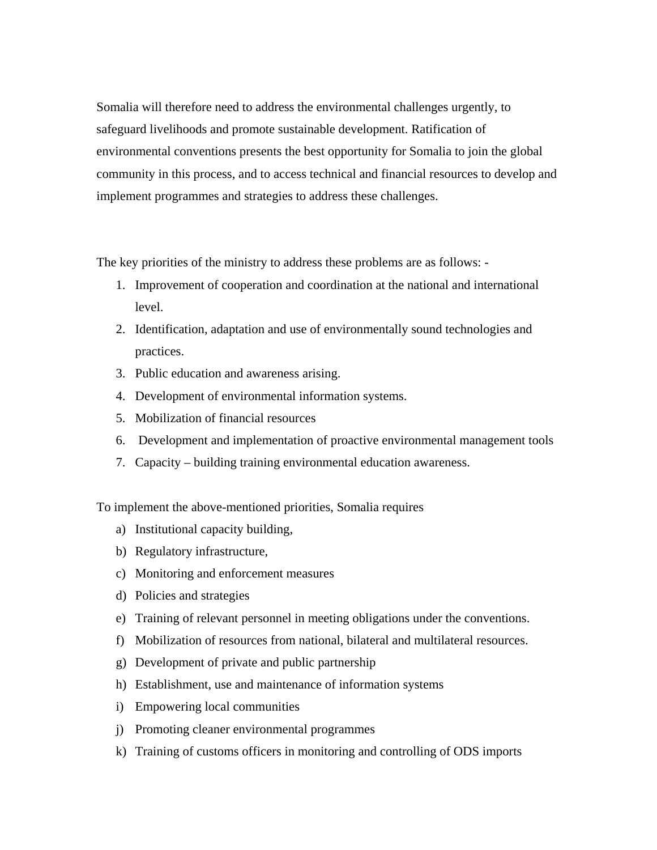Somalia will therefore need to address the environmental challenges urgently, to safeguard livelihoods and promote sustainable development. Ratification of environmental conventions presents the best opportunity for Somalia to join the global community in this process, and to access technical and financial resources to develop and implement programmes and strategies to address these challenges.

The key priorities of the ministry to address these problems are as follows: -

- 1. Improvement of cooperation and coordination at the national and international level.
- 2. Identification, adaptation and use of environmentally sound technologies and practices.
- 3. Public education and awareness arising.
- 4. Development of environmental information systems.
- 5. Mobilization of financial resources
- 6. Development and implementation of proactive environmental management tools
- 7. Capacity building training environmental education awareness.

To implement the above-mentioned priorities, Somalia requires

- a) Institutional capacity building,
- b) Regulatory infrastructure,
- c) Monitoring and enforcement measures
- d) Policies and strategies
- e) Training of relevant personnel in meeting obligations under the conventions.
- f) Mobilization of resources from national, bilateral and multilateral resources.
- g) Development of private and public partnership
- h) Establishment, use and maintenance of information systems
- i) Empowering local communities
- j) Promoting cleaner environmental programmes
- k) Training of customs officers in monitoring and controlling of ODS imports